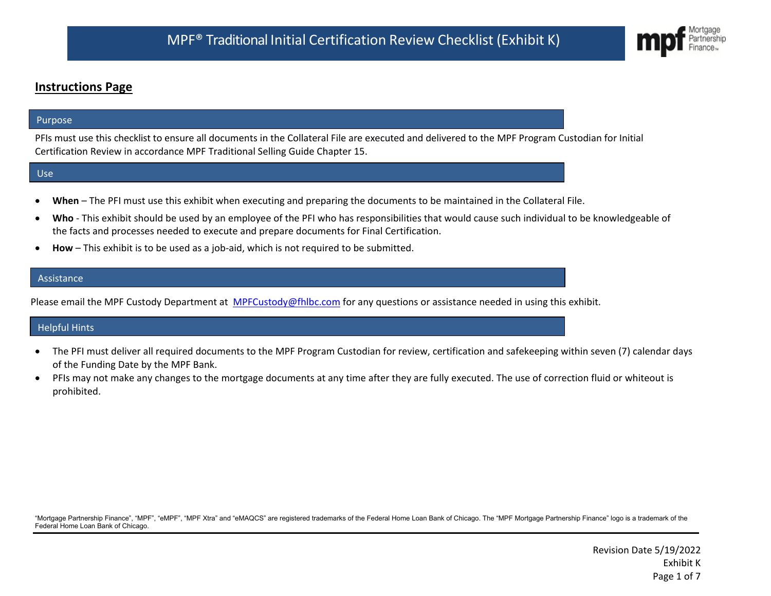## **Instructions Page**

#### Purpose

PFIs must use this checklist to ensure all documents in the Collateral File are executed and delivered to the MPF Program Custodian for Initial Certification Review in accordance MPF Traditional Selling Guide Chapter 15.

#### Use

- **When** The PFI must use this exhibit when executing and preparing the documents to be maintained in the Collateral File.
- **Who** This exhibit should be used by an employee of the PFI who has responsibilities that would cause such individual to be knowledgeable of the facts and processes needed to execute and prepare documents for Final Certification.
- **How** This exhibit is to be used as a job-aid, which is not required to be submitted.

#### **Assistance**

Please email the MPF Custody Department at [MPFCustody@fhlbc.com](mailto:MPFCustody@fhlbc.com) for any questions or assistance needed in using this exhibit.

#### Helpful Hints

- The PFI must deliver all required documents to the MPF Program Custodian for review, certification and safekeeping within seven (7) calendar days of the Funding Date by the MPF Bank.
- PFIs may not make any changes to the mortgage documents at any time after they are fully executed. The use of correction fluid or whiteout is prohibited.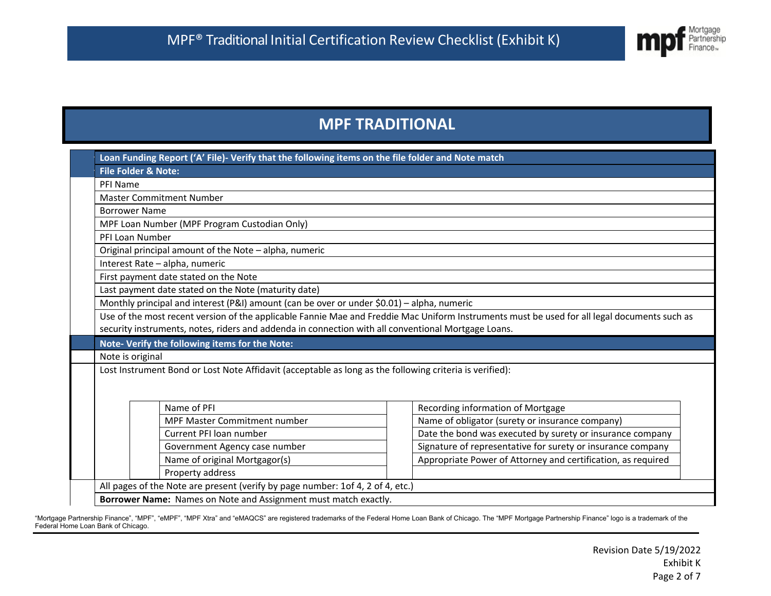

# **MPF TRADITIONAL**

|                                                      | Loan Funding Report ('A' File)- Verify that the following items on the file folder and Note match                                            |  |                                                                                      |  |  |  |  |
|------------------------------------------------------|----------------------------------------------------------------------------------------------------------------------------------------------|--|--------------------------------------------------------------------------------------|--|--|--|--|
| <b>File Folder &amp; Note:</b>                       |                                                                                                                                              |  |                                                                                      |  |  |  |  |
| PFI Name                                             | <b>Master Commitment Number</b>                                                                                                              |  |                                                                                      |  |  |  |  |
|                                                      |                                                                                                                                              |  |                                                                                      |  |  |  |  |
| <b>Borrower Name</b>                                 |                                                                                                                                              |  |                                                                                      |  |  |  |  |
|                                                      | MPF Loan Number (MPF Program Custodian Only)                                                                                                 |  |                                                                                      |  |  |  |  |
| PFI Loan Number                                      |                                                                                                                                              |  |                                                                                      |  |  |  |  |
|                                                      | Original principal amount of the Note - alpha, numeric                                                                                       |  |                                                                                      |  |  |  |  |
|                                                      | Interest Rate - alpha, numeric                                                                                                               |  |                                                                                      |  |  |  |  |
| First payment date stated on the Note                |                                                                                                                                              |  |                                                                                      |  |  |  |  |
| Last payment date stated on the Note (maturity date) |                                                                                                                                              |  |                                                                                      |  |  |  |  |
|                                                      | Monthly principal and interest (P&I) amount (can be over or under \$0.01) - alpha, numeric                                                   |  |                                                                                      |  |  |  |  |
|                                                      | Use of the most recent version of the applicable Fannie Mae and Freddie Mac Uniform Instruments must be used for all legal documents such as |  |                                                                                      |  |  |  |  |
|                                                      | security instruments, notes, riders and addenda in connection with all conventional Mortgage Loans.                                          |  |                                                                                      |  |  |  |  |
|                                                      | Note- Verify the following items for the Note:                                                                                               |  |                                                                                      |  |  |  |  |
|                                                      | Note is original                                                                                                                             |  |                                                                                      |  |  |  |  |
|                                                      | Lost Instrument Bond or Lost Note Affidavit (acceptable as long as the following criteria is verified):                                      |  |                                                                                      |  |  |  |  |
|                                                      |                                                                                                                                              |  |                                                                                      |  |  |  |  |
| Name of PFI                                          |                                                                                                                                              |  |                                                                                      |  |  |  |  |
|                                                      | <b>MPF Master Commitment number</b>                                                                                                          |  | Recording information of Mortgage<br>Name of obligator (surety or insurance company) |  |  |  |  |
| Current PFI loan number                              |                                                                                                                                              |  | Date the bond was executed by surety or insurance company                            |  |  |  |  |
|                                                      | Government Agency case number                                                                                                                |  | Signature of representative for surety or insurance company                          |  |  |  |  |
|                                                      | Name of original Mortgagor(s)                                                                                                                |  | Appropriate Power of Attorney and certification, as required                         |  |  |  |  |
| Property address                                     |                                                                                                                                              |  |                                                                                      |  |  |  |  |
|                                                      | All pages of the Note are present (verify by page number: 1of 4, 2 of 4, etc.)                                                               |  |                                                                                      |  |  |  |  |
|                                                      | Borrower Name: Names on Note and Assignment must match exactly.                                                                              |  |                                                                                      |  |  |  |  |
|                                                      |                                                                                                                                              |  |                                                                                      |  |  |  |  |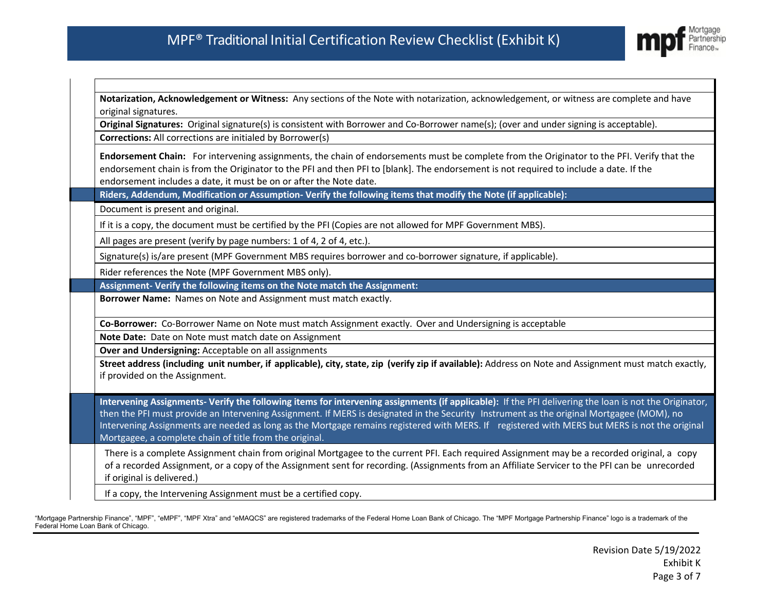H.



ı

| Notarization, Acknowledgement or Witness: Any sections of the Note with notarization, acknowledgement, or witness are complete and have<br>original signatures.                                                                                                                                                                                                                                                                                                                                                 |  |  |  |  |
|-----------------------------------------------------------------------------------------------------------------------------------------------------------------------------------------------------------------------------------------------------------------------------------------------------------------------------------------------------------------------------------------------------------------------------------------------------------------------------------------------------------------|--|--|--|--|
| Original Signatures: Original signature(s) is consistent with Borrower and Co-Borrower name(s); (over and under signing is acceptable).                                                                                                                                                                                                                                                                                                                                                                         |  |  |  |  |
| <b>Corrections:</b> All corrections are initialed by Borrower(s)                                                                                                                                                                                                                                                                                                                                                                                                                                                |  |  |  |  |
| Endorsement Chain: For intervening assignments, the chain of endorsements must be complete from the Originator to the PFI. Verify that the<br>endorsement chain is from the Originator to the PFI and then PFI to [blank]. The endorsement is not required to include a date. If the<br>endorsement includes a date, it must be on or after the Note date.                                                                                                                                                      |  |  |  |  |
| Riders, Addendum, Modification or Assumption-Verify the following items that modify the Note (if applicable):                                                                                                                                                                                                                                                                                                                                                                                                   |  |  |  |  |
| Document is present and original.                                                                                                                                                                                                                                                                                                                                                                                                                                                                               |  |  |  |  |
| If it is a copy, the document must be certified by the PFI (Copies are not allowed for MPF Government MBS).                                                                                                                                                                                                                                                                                                                                                                                                     |  |  |  |  |
| All pages are present (verify by page numbers: 1 of 4, 2 of 4, etc.).                                                                                                                                                                                                                                                                                                                                                                                                                                           |  |  |  |  |
| Signature(s) is/are present (MPF Government MBS requires borrower and co-borrower signature, if applicable).                                                                                                                                                                                                                                                                                                                                                                                                    |  |  |  |  |
| Rider references the Note (MPF Government MBS only).                                                                                                                                                                                                                                                                                                                                                                                                                                                            |  |  |  |  |
| Assignment- Verify the following items on the Note match the Assignment:                                                                                                                                                                                                                                                                                                                                                                                                                                        |  |  |  |  |
| Borrower Name: Names on Note and Assignment must match exactly.                                                                                                                                                                                                                                                                                                                                                                                                                                                 |  |  |  |  |
| Co-Borrower: Co-Borrower Name on Note must match Assignment exactly. Over and Undersigning is acceptable                                                                                                                                                                                                                                                                                                                                                                                                        |  |  |  |  |
| Note Date: Date on Note must match date on Assignment                                                                                                                                                                                                                                                                                                                                                                                                                                                           |  |  |  |  |
| Over and Undersigning: Acceptable on all assignments                                                                                                                                                                                                                                                                                                                                                                                                                                                            |  |  |  |  |
| Street address (including unit number, if applicable), city, state, zip (verify zip if available): Address on Note and Assignment must match exactly,<br>if provided on the Assignment.                                                                                                                                                                                                                                                                                                                         |  |  |  |  |
| Intervening Assignments- Verify the following items for intervening assignments (if applicable): If the PFI delivering the loan is not the Originator,<br>then the PFI must provide an Intervening Assignment. If MERS is designated in the Security Instrument as the original Mortgagee (MOM), no<br>Intervening Assignments are needed as long as the Mortgage remains registered with MERS. If registered with MERS but MERS is not the original<br>Mortgagee, a complete chain of title from the original. |  |  |  |  |
| There is a complete Assignment chain from original Mortgagee to the current PFI. Each required Assignment may be a recorded original, a copy<br>of a recorded Assignment, or a copy of the Assignment sent for recording. (Assignments from an Affiliate Servicer to the PFI can be unrecorded<br>if original is delivered.)                                                                                                                                                                                    |  |  |  |  |
| If a copy, the Intervening Assignment must be a certified copy.                                                                                                                                                                                                                                                                                                                                                                                                                                                 |  |  |  |  |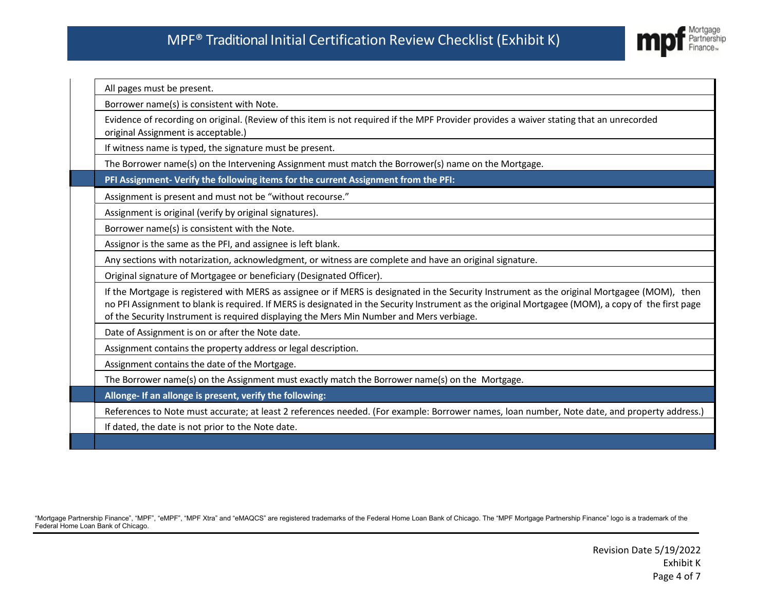

All pages must be present.

Borrower name(s) is consistent with Note.

 Evidence of recording on original. (Review of this item is not required if the MPF Provider provides a waiver stating that an unrecorded original Assignment is acceptable.)

If witness name is typed, the signature must be present.

The Borrower name(s) on the Intervening Assignment must match the Borrower(s) name on the Mortgage.

**PFI Assignment- Verify the following items for the current Assignment from the PFI:**

Assignment is present and must not be "without recourse."

Assignment is original (verify by original signatures).

Borrower name(s) is consistent with the Note.

Assignor is the same as the PFI, and assignee is left blank.

Any sections with notarization, acknowledgment, or witness are complete and have an original signature.

Original signature of Mortgagee or beneficiary (Designated Officer).

 If the Mortgage is registered with MERS as assignee or if MERS is designated in the Security Instrument as the original Mortgagee (MOM), then no PFI Assignment to blank isrequired. If MERS is designated in the Security Instrument as the original Mortgagee (MOM), a copy of the first page of the Security Instrument is required displaying the Mers Min Number and Mers verbiage.

Date of Assignment is on or after the Note date.

Assignment contains the property address or legal description.

Assignment contains the date of the Mortgage.

The Borrower name(s) on the Assignment must exactly match the Borrower name(s) on the Mortgage.

**Allonge- If an allonge is present, verify the following:** 

References to Note must accurate; at least 2 references needed. (For example: Borrower names, loan number, Note date, and property address.)

If dated, the date is not prior to the Note date.

L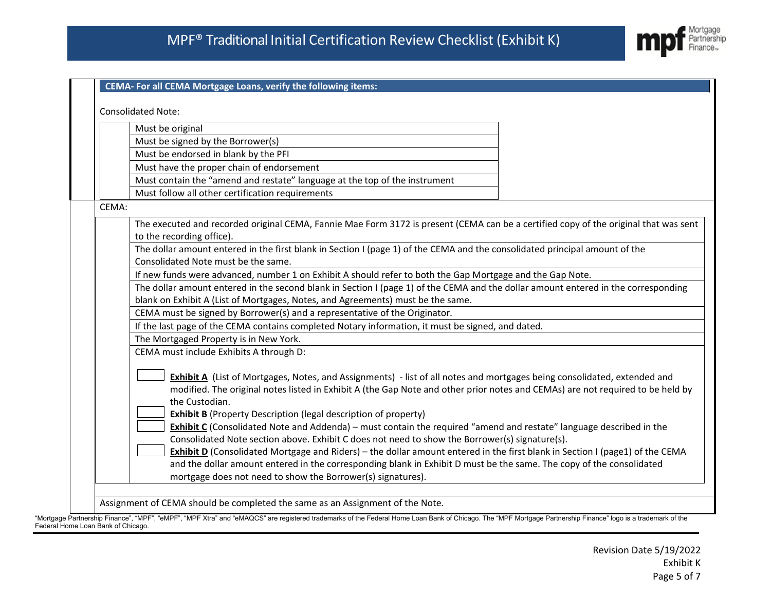

|       | Must be original                                                                                                                                                                                                                                                                                                                                                                                                                                                                                                                                                                                                                                                                                                                                                                                                                                                                                                     |  |  |  |  |  |
|-------|----------------------------------------------------------------------------------------------------------------------------------------------------------------------------------------------------------------------------------------------------------------------------------------------------------------------------------------------------------------------------------------------------------------------------------------------------------------------------------------------------------------------------------------------------------------------------------------------------------------------------------------------------------------------------------------------------------------------------------------------------------------------------------------------------------------------------------------------------------------------------------------------------------------------|--|--|--|--|--|
|       | Must be signed by the Borrower(s)                                                                                                                                                                                                                                                                                                                                                                                                                                                                                                                                                                                                                                                                                                                                                                                                                                                                                    |  |  |  |  |  |
|       | Must be endorsed in blank by the PFI                                                                                                                                                                                                                                                                                                                                                                                                                                                                                                                                                                                                                                                                                                                                                                                                                                                                                 |  |  |  |  |  |
|       | Must have the proper chain of endorsement                                                                                                                                                                                                                                                                                                                                                                                                                                                                                                                                                                                                                                                                                                                                                                                                                                                                            |  |  |  |  |  |
|       | Must contain the "amend and restate" language at the top of the instrument                                                                                                                                                                                                                                                                                                                                                                                                                                                                                                                                                                                                                                                                                                                                                                                                                                           |  |  |  |  |  |
|       | Must follow all other certification requirements                                                                                                                                                                                                                                                                                                                                                                                                                                                                                                                                                                                                                                                                                                                                                                                                                                                                     |  |  |  |  |  |
| CEMA: |                                                                                                                                                                                                                                                                                                                                                                                                                                                                                                                                                                                                                                                                                                                                                                                                                                                                                                                      |  |  |  |  |  |
|       |                                                                                                                                                                                                                                                                                                                                                                                                                                                                                                                                                                                                                                                                                                                                                                                                                                                                                                                      |  |  |  |  |  |
|       | The executed and recorded original CEMA, Fannie Mae Form 3172 is present (CEMA can be a certified copy of the original that was sent<br>to the recording office).                                                                                                                                                                                                                                                                                                                                                                                                                                                                                                                                                                                                                                                                                                                                                    |  |  |  |  |  |
|       | The dollar amount entered in the first blank in Section I (page 1) of the CEMA and the consolidated principal amount of the                                                                                                                                                                                                                                                                                                                                                                                                                                                                                                                                                                                                                                                                                                                                                                                          |  |  |  |  |  |
|       | Consolidated Note must be the same.                                                                                                                                                                                                                                                                                                                                                                                                                                                                                                                                                                                                                                                                                                                                                                                                                                                                                  |  |  |  |  |  |
|       | If new funds were advanced, number 1 on Exhibit A should refer to both the Gap Mortgage and the Gap Note.                                                                                                                                                                                                                                                                                                                                                                                                                                                                                                                                                                                                                                                                                                                                                                                                            |  |  |  |  |  |
|       | The dollar amount entered in the second blank in Section I (page 1) of the CEMA and the dollar amount entered in the corresponding                                                                                                                                                                                                                                                                                                                                                                                                                                                                                                                                                                                                                                                                                                                                                                                   |  |  |  |  |  |
|       | blank on Exhibit A (List of Mortgages, Notes, and Agreements) must be the same.                                                                                                                                                                                                                                                                                                                                                                                                                                                                                                                                                                                                                                                                                                                                                                                                                                      |  |  |  |  |  |
|       | CEMA must be signed by Borrower(s) and a representative of the Originator.                                                                                                                                                                                                                                                                                                                                                                                                                                                                                                                                                                                                                                                                                                                                                                                                                                           |  |  |  |  |  |
|       | If the last page of the CEMA contains completed Notary information, it must be signed, and dated.                                                                                                                                                                                                                                                                                                                                                                                                                                                                                                                                                                                                                                                                                                                                                                                                                    |  |  |  |  |  |
|       | The Mortgaged Property is in New York.                                                                                                                                                                                                                                                                                                                                                                                                                                                                                                                                                                                                                                                                                                                                                                                                                                                                               |  |  |  |  |  |
|       | CEMA must include Exhibits A through D:                                                                                                                                                                                                                                                                                                                                                                                                                                                                                                                                                                                                                                                                                                                                                                                                                                                                              |  |  |  |  |  |
|       | <b>Exhibit A</b> (List of Mortgages, Notes, and Assignments) - list of all notes and mortgages being consolidated, extended and<br>modified. The original notes listed in Exhibit A (the Gap Note and other prior notes and CEMAs) are not required to be held by<br>the Custodian.<br><b>Exhibit B</b> (Property Description (legal description of property)<br><b>Exhibit C</b> (Consolidated Note and Addenda) – must contain the required "amend and restate" language described in the<br>Consolidated Note section above. Exhibit C does not need to show the Borrower(s) signature(s).<br>Exhibit D (Consolidated Mortgage and Riders) – the dollar amount entered in the first blank in Section I (page1) of the CEMA<br>and the dollar amount entered in the corresponding blank in Exhibit D must be the same. The copy of the consolidated<br>mortgage does not need to show the Borrower(s) signatures). |  |  |  |  |  |

Federal Home Loan Bank of Chicago.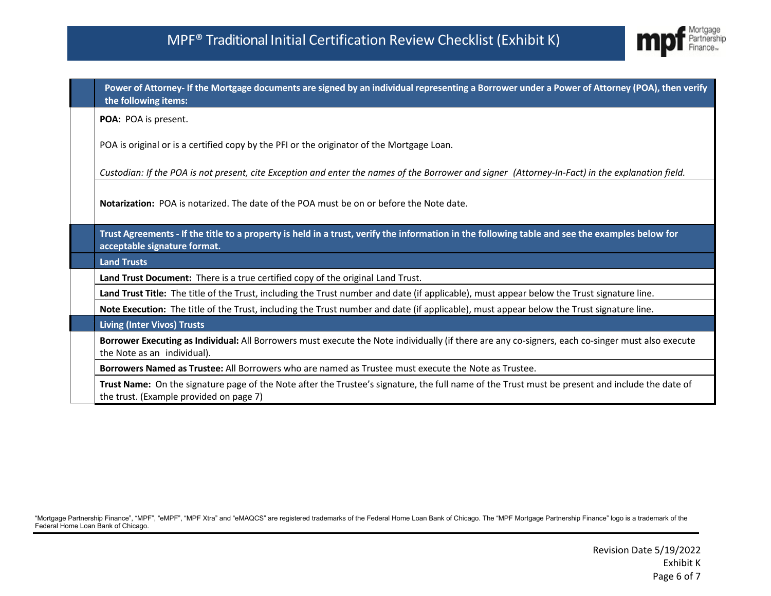

|                                                                                                                                            | Power of Attorney- If the Mortgage documents are signed by an individual representing a Borrower under a Power of Attorney (POA), then verify<br>the following items:                      |  |  |  |
|--------------------------------------------------------------------------------------------------------------------------------------------|--------------------------------------------------------------------------------------------------------------------------------------------------------------------------------------------|--|--|--|
|                                                                                                                                            | POA: POA is present.                                                                                                                                                                       |  |  |  |
|                                                                                                                                            | POA is original or is a certified copy by the PFI or the originator of the Mortgage Loan.                                                                                                  |  |  |  |
|                                                                                                                                            | Custodian: If the POA is not present, cite Exception and enter the names of the Borrower and signer (Attorney-In-Fact) in the explanation field.                                           |  |  |  |
| <b>Notarization:</b> POA is notarized. The date of the POA must be on or before the Note date.                                             |                                                                                                                                                                                            |  |  |  |
|                                                                                                                                            | Trust Agreements - If the title to a property is held in a trust, verify the information in the following table and see the examples below for<br>acceptable signature format.             |  |  |  |
|                                                                                                                                            | <b>Land Trusts</b>                                                                                                                                                                         |  |  |  |
|                                                                                                                                            | Land Trust Document: There is a true certified copy of the original Land Trust.                                                                                                            |  |  |  |
| Land Trust Title: The title of the Trust, including the Trust number and date (if applicable), must appear below the Trust signature line. |                                                                                                                                                                                            |  |  |  |
|                                                                                                                                            | Note Execution: The title of the Trust, including the Trust number and date (if applicable), must appear below the Trust signature line.                                                   |  |  |  |
|                                                                                                                                            | <b>Living (Inter Vivos) Trusts</b>                                                                                                                                                         |  |  |  |
|                                                                                                                                            | Borrower Executing as Individual: All Borrowers must execute the Note individually (if there are any co-signers, each co-singer must also execute<br>the Note as an individual).           |  |  |  |
|                                                                                                                                            | Borrowers Named as Trustee: All Borrowers who are named as Trustee must execute the Note as Trustee.                                                                                       |  |  |  |
|                                                                                                                                            | Trust Name: On the signature page of the Note after the Trustee's signature, the full name of the Trust must be present and include the date of<br>the trust. (Example provided on page 7) |  |  |  |